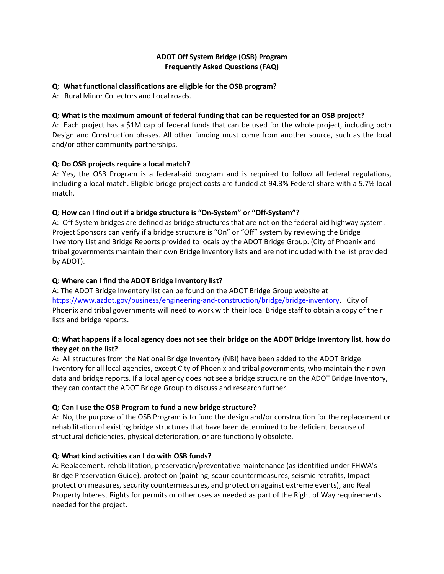## **ADOT Off System Bridge (OSB) Program Frequently Asked Questions (FAQ)**

### **Q: What functional classifications are eligible for the OSB program?**

A: Rural Minor Collectors and Local roads.

## **Q: What is the maximum amount of federal funding that can be requested for an OSB project?**

A: Each project has a \$1M cap of federal funds that can be used for the whole project, including both Design and Construction phases. All other funding must come from another source, such as the local and/or other community partnerships.

## **Q: Do OSB projects require a local match?**

A: Yes, the OSB Program is a federal-aid program and is required to follow all federal regulations, including a local match. Eligible bridge project costs are funded at 94.3% Federal share with a 5.7% local match.

## **Q: How can I find out if a bridge structure is "On-System" or "Off-System"?**

A: Off-System bridges are defined as bridge structures that are not on the federal-aid highway system. Project Sponsors can verify if a bridge structure is "On" or "Off" system by reviewing the Bridge Inventory List and Bridge Reports provided to locals by the ADOT Bridge Group. (City of Phoenix and tribal governments maintain their own Bridge Inventory lists and are not included with the list provided by ADOT).

## **Q: Where can I find the ADOT Bridge Inventory list?**

A: The ADOT Bridge Inventory list can be found on the ADOT Bridge Group website at [https://www.azdot.gov/business/engineering-and-construction/bridge/bridge-inventory.](https://www.azdot.gov/business/engineering-and-construction/bridge/bridge-inventory) City of Phoenix and tribal governments will need to work with their local Bridge staff to obtain a copy of their lists and bridge reports.

# **Q: What happens if a local agency does not see their bridge on the ADOT Bridge Inventory list, how do they get on the list?**

A: All structures from the National Bridge Inventory (NBI) have been added to the ADOT Bridge Inventory for all local agencies, except City of Phoenix and tribal governments, who maintain their own data and bridge reports. If a local agency does not see a bridge structure on the ADOT Bridge Inventory, they can contact the ADOT Bridge Group to discuss and research further.

# **Q: Can I use the OSB Program to fund a new bridge structure?**

A: No, the purpose of the OSB Program is to fund the design and/or construction for the replacement or rehabilitation of existing bridge structures that have been determined to be deficient because of structural deficiencies, physical deterioration, or are functionally obsolete.

### **Q: What kind activities can I do with OSB funds?**

A: Replacement, rehabilitation, preservation/preventative maintenance (as identified under FHWA's Bridge Preservation Guide), protection (painting, scour countermeasures, seismic retrofits, Impact protection measures, security countermeasures, and protection against extreme events), and Real Property Interest Rights for permits or other uses as needed as part of the Right of Way requirements needed for the project.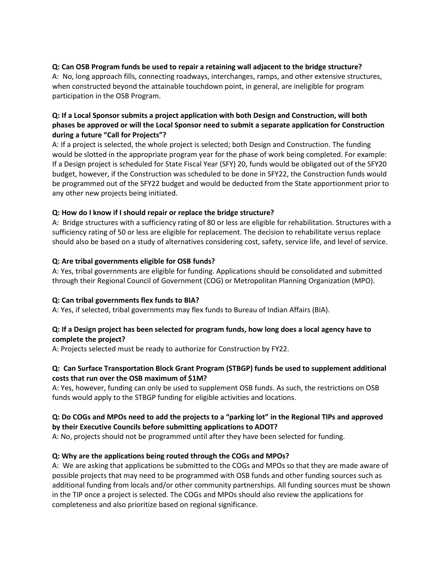# **Q: Can OSB Program funds be used to repair a retaining wall adjacent to the bridge structure?**

A: No, long approach fills, connecting roadways, interchanges, ramps, and other extensive structures, when constructed beyond the attainable touchdown point, in general, are ineligible for program participation in the OSB Program.

# **Q: If a Local Sponsor submits a project application with both Design and Construction, will both phases be approved or will the Local Sponsor need to submit a separate application for Construction during a future "Call for Projects"?**

A: If a project is selected, the whole project is selected; both Design and Construction. The funding would be slotted in the appropriate program year for the phase of work being completed. For example: If a Design project is scheduled for State Fiscal Year (SFY) 20, funds would be obligated out of the SFY20 budget, however, if the Construction was scheduled to be done in SFY22, the Construction funds would be programmed out of the SFY22 budget and would be deducted from the State apportionment prior to any other new projects being initiated.

## **Q: How do I know if I should repair or replace the bridge structure?**

A: Bridge structures with a sufficiency rating of 80 or less are eligible for rehabilitation. Structures with a sufficiency rating of 50 or less are eligible for replacement. The decision to rehabilitate versus replace should also be based on a study of alternatives considering cost, safety, service life, and level of service.

## **Q: Are tribal governments eligible for OSB funds?**

A: Yes, tribal governments are eligible for funding. Applications should be consolidated and submitted through their Regional Council of Government (COG) or Metropolitan Planning Organization (MPO).

### **Q: Can tribal governments flex funds to BIA?**

A: Yes, if selected, tribal governments may flex funds to Bureau of Indian Affairs (BIA).

## **Q: If a Design project has been selected for program funds, how long does a local agency have to complete the project?**

A: Projects selected must be ready to authorize for Construction by FY22.

## **Q: Can Surface Transportation Block Grant Program (STBGP) funds be used to supplement additional costs that run over the OSB maximum of \$1M?**

A: Yes, however, funding can only be used to supplement OSB funds. As such, the restrictions on OSB funds would apply to the STBGP funding for eligible activities and locations.

# **Q: Do COGs and MPOs need to add the projects to a "parking lot" in the Regional TIPs and approved by their Executive Councils before submitting applications to ADOT?**

A: No, projects should not be programmed until after they have been selected for funding.

# **Q: Why are the applications being routed through the COGs and MPOs?**

A: We are asking that applications be submitted to the COGs and MPOs so that they are made aware of possible projects that may need to be programmed with OSB funds and other funding sources such as additional funding from locals and/or other community partnerships. All funding sources must be shown in the TIP once a project is selected. The COGs and MPOs should also review the applications for completeness and also prioritize based on regional significance.